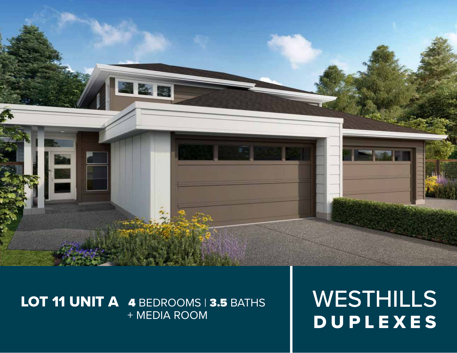

# LOT 11 UNIT A 4 BEDROOMS | 3.5 BATHS + MEDIA ROOM

WESTHILLS DUPLEXES